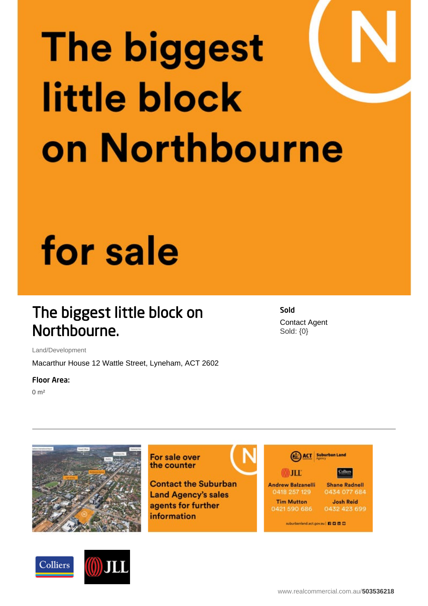# **The biggest** little block on Northbourne

## for sale

### The biggest little block on Northbourne.

Land/Development

Macarthur House 12 Wattle Street, Lyneham, ACT 2602

#### Floor Area:

 $0 \text{ m}^2$ 





For sale over the counter

**Contact the Suburban Land Agency's sales** agents for further information